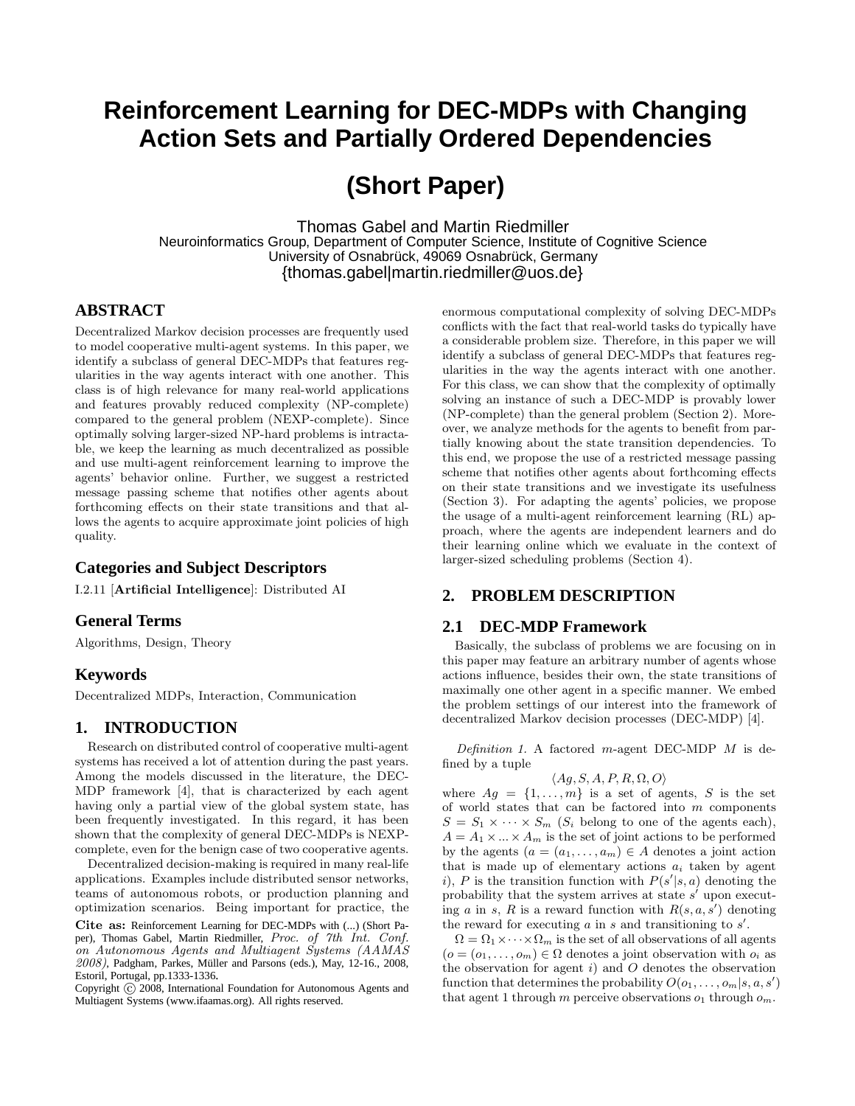## **Reinforcement Learning for DEC-MDPs with Changing Action Sets and Partially Ordered Dependencies**

# **(Short Paper)**

Thomas Gabel and Martin Riedmiller Neuroinformatics Group, Department of Computer Science, Institute of Cognitive Science University of Osnabrück, 49069 Osnabrück, Germany {thomas.gabel|martin.riedmiller@uos.de}

## **ABSTRACT**

Decentralized Markov decision processes are frequently used to model cooperative multi-agent systems. In this paper, we identify a subclass of general DEC-MDPs that features regularities in the way agents interact with one another. This class is of high relevance for many real-world applications and features provably reduced complexity (NP-complete) compared to the general problem (NEXP-complete). Since optimally solving larger-sized NP-hard problems is intractable, we keep the learning as much decentralized as possible and use multi-agent reinforcement learning to improve the agents' behavior online. Further, we suggest a restricted message passing scheme that notifies other agents about forthcoming effects on their state transitions and that allows the agents to acquire approximate joint policies of high quality.

## **Categories and Subject Descriptors**

I.2.11 [Artificial Intelligence]: Distributed AI

## **General Terms**

Algorithms, Design, Theory

## **Keywords**

Decentralized MDPs, Interaction, Communication

## **1. INTRODUCTION**

Research on distributed control of cooperative multi-agent systems has received a lot of attention during the past years. Among the models discussed in the literature, the DEC-MDP framework [4], that is characterized by each agent having only a partial view of the global system state, has been frequently investigated. In this regard, it has been shown that the complexity of general DEC-MDPs is NEXPcomplete, even for the benign case of two cooperative agents.

Decentralized decision-making is required in many real-life applications. Examples include distributed sensor networks, teams of autonomous robots, or production planning and optimization scenarios. Being important for practice, the

Cite as: Reinforcement Learning for DEC-MDPs with (...) (Short Paper), Thomas Gabel, Martin Riedmiller, Proc. of 7th Int. Conf. on Autonomous Agents and Multiagent Systems (AAMAS 2008), Padgham, Parkes, Müller and Parsons (eds.), May, 12-16., 2008, Estoril, Portugal, pp.1333-1336..

Copyright  $\overline{c}$  2008, International Foundation for Autonomous Agents and Multiagent Systems (www.ifaamas.org). All rights reserved.

enormous computational complexity of solving DEC-MDPs conflicts with the fact that real-world tasks do typically have a considerable problem size. Therefore, in this paper we will identify a subclass of general DEC-MDPs that features regularities in the way the agents interact with one another. For this class, we can show that the complexity of optimally solving an instance of such a DEC-MDP is provably lower (NP-complete) than the general problem (Section 2). Moreover, we analyze methods for the agents to benefit from partially knowing about the state transition dependencies. To this end, we propose the use of a restricted message passing scheme that notifies other agents about forthcoming effects on their state transitions and we investigate its usefulness (Section 3). For adapting the agents' policies, we propose the usage of a multi-agent reinforcement learning (RL) approach, where the agents are independent learners and do their learning online which we evaluate in the context of larger-sized scheduling problems (Section 4).

## **2. PROBLEM DESCRIPTION**

## **2.1 DEC-MDP Framework**

Basically, the subclass of problems we are focusing on in this paper may feature an arbitrary number of agents whose actions influence, besides their own, the state transitions of maximally one other agent in a specific manner. We embed the problem settings of our interest into the framework of decentralized Markov decision processes (DEC-MDP) [4].

Definition 1. A factored m-agent DEC-MDP  $M$  is defined by a tuple

$$
\langle Ag, S, A, P, R, \Omega, O \rangle
$$

where  $Ag = \{1, \ldots, m\}$  is a set of agents, S is the set of world states that can be factored into m components  $S = S_1 \times \cdots \times S_m$  (S<sub>i</sub> belong to one of the agents each),  $A = A_1 \times ... \times A_m$  is the set of joint actions to be performed by the agents  $(a = (a_1, \ldots, a_m) \in A$  denotes a joint action that is made up of elementary actions  $a_i$  taken by agent i), P is the transition function with  $P(s'|s, a)$  denoting the probability that the system arrives at state  $s'$  upon executing a in s, R is a reward function with  $R(s, a, s')$  denoting the reward for executing  $a$  in  $s$  and transitioning to  $s'$ .

 $\Omega = \Omega_1 \times \cdots \times \Omega_m$  is the set of all observations of all agents  $(o = (o_1, \ldots, o_m) \in \Omega$  denotes a joint observation with  $o_i$  as the observation for agent  $i$ ) and  $O$  denotes the observation function that determines the probability  $O(o_1, \ldots, o_m | s, a, s')$ that agent 1 through m perceive observations  $o_1$  through  $o_m$ .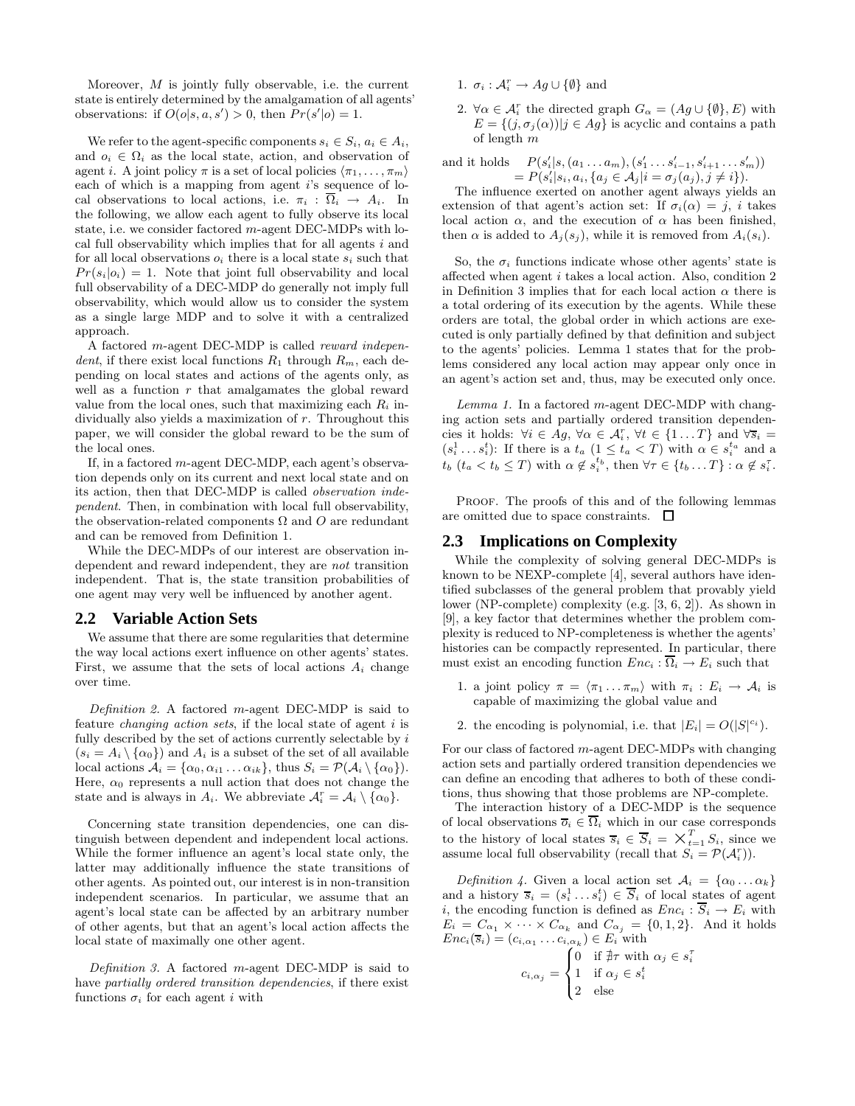Moreover, M is jointly fully observable, i.e. the current state is entirely determined by the amalgamation of all agents' observations: if  $O(o|s, a, s') > 0$ , then  $Pr(s'|o) = 1$ .

We refer to the agent-specific components  $s_i \in S_i$ ,  $a_i \in A_i$ , and  $o_i \in \Omega_i$  as the local state, action, and observation of agent i. A joint policy  $\pi$  is a set of local policies  $\langle \pi_1, \ldots, \pi_m \rangle$ each of which is a mapping from agent  $i$ 's sequence of local observations to local actions, i.e.  $\pi_i : \overline{\Omega}_i \to A_i$ . In the following, we allow each agent to fully observe its local state, i.e. we consider factored  $m$ -agent DEC-MDPs with local full observability which implies that for all agents i and for all local observations  $o_i$  there is a local state  $s_i$  such that  $Pr(s_i|o_i) = 1$ . Note that joint full observability and local full observability of a DEC-MDP do generally not imply full observability, which would allow us to consider the system as a single large MDP and to solve it with a centralized approach.

A factored m-agent DEC-MDP is called reward independent, if there exist local functions  $R_1$  through  $R_m$ , each depending on local states and actions of the agents only, as well as a function  $r$  that amalgamates the global reward value from the local ones, such that maximizing each  $R_i$  individually also yields a maximization of r. Throughout this paper, we will consider the global reward to be the sum of the local ones.

If, in a factored m-agent DEC-MDP, each agent's observation depends only on its current and next local state and on its action, then that DEC-MDP is called observation independent. Then, in combination with local full observability, the observation-related components  $\Omega$  and  $\Omega$  are redundant and can be removed from Definition 1.

While the DEC-MDPs of our interest are observation independent and reward independent, they are not transition independent. That is, the state transition probabilities of one agent may very well be influenced by another agent.

#### **2.2 Variable Action Sets**

We assume that there are some regularities that determine the way local actions exert influence on other agents' states. First, we assume that the sets of local actions  $A_i$  change over time.

Definition 2. A factored m-agent DEC-MDP is said to feature *changing action sets*, if the local state of agent  $i$  is fully described by the set of actions currently selectable by  $i$  $(s_i = A_i \setminus \{\alpha_0\})$  and  $A_i$  is a subset of the set of all available local actions  $A_i = {\alpha_0, \alpha_{i1} \dots \alpha_{ik}}$ , thus  $S_i = \mathcal{P}(A_i \setminus {\alpha_0})$ . Here,  $\alpha_0$  represents a null action that does not change the state and is always in  $A_i$ . We abbreviate  $\mathcal{A}_i^r = \mathcal{A}_i \setminus \{\alpha_0\}.$ 

Concerning state transition dependencies, one can distinguish between dependent and independent local actions. While the former influence an agent's local state only, the latter may additionally influence the state transitions of other agents. As pointed out, our interest is in non-transition independent scenarios. In particular, we assume that an agent's local state can be affected by an arbitrary number of other agents, but that an agent's local action affects the local state of maximally one other agent.

Definition 3. A factored  $m$ -agent DEC-MDP is said to have partially ordered transition dependencies, if there exist functions  $\sigma_i$  for each agent i with

- 1.  $\sigma_i : \mathcal{A}_i^r \to Ag \cup \{\emptyset\}$  and
- 2.  $\forall \alpha \in \mathcal{A}_i^r$  the directed graph  $G_{\alpha} = (Ag \cup \{\emptyset\}, E)$  with  $E = \{(j, \sigma_i(\alpha)) | j \in Ag\}$  is acyclic and contains a path of length m

and it holds  $s'_{i}|s, (a_1 \ldots a_m), (s'_{1} \ldots s'_{i-1}, s'_{i+1} \ldots s'_{m}))$  $= P(s'_i | s_i, a_i, \{a_j \in A_j | i = \sigma_j(a_j), j \neq i\}).$ 

The influence exerted on another agent always yields an extension of that agent's action set: If  $\sigma_i(\alpha) = j$ , i takes local action  $\alpha$ , and the execution of  $\alpha$  has been finished, then  $\alpha$  is added to  $A_i(s_i)$ , while it is removed from  $A_i(s_i)$ .

So, the  $\sigma_i$  functions indicate whose other agents' state is affected when agent i takes a local action. Also, condition 2 in Definition 3 implies that for each local action  $\alpha$  there is a total ordering of its execution by the agents. While these orders are total, the global order in which actions are executed is only partially defined by that definition and subject to the agents' policies. Lemma 1 states that for the problems considered any local action may appear only once in an agent's action set and, thus, may be executed only once.

 $Lemma 1.$  In a factored  $m$ -agent DEC-MDP with changing action sets and partially ordered transition dependencies it holds:  $\forall i \in Ag, \forall \alpha \in \mathcal{A}_i^r, \forall t \in \{1...T\}$  and  $\forall \overline{s}_i =$  $(s_i^1 \dots s_i^t)$ : If there is a  $t_a$   $(1 \le t_a < T)$  with  $\alpha \in s_i^{t_a}$  and a  $t_b$   $(t_a < t_b \leq T)$  with  $\alpha \notin s_i^{t_b}$ , then  $\forall \tau \in \{t_b \dots T\} : \alpha \notin s_i^{T}$ .

PROOF. The proofs of this and of the following lemmas are omitted due to space constraints.  $\quad \Box$ 

## **2.3 Implications on Complexity**

While the complexity of solving general DEC-MDPs is known to be NEXP-complete [4], several authors have identified subclasses of the general problem that provably yield lower (NP-complete) complexity (e.g. [3, 6, 2]). As shown in [9], a key factor that determines whether the problem complexity is reduced to NP-completeness is whether the agents' histories can be compactly represented. In particular, there must exist an encoding function  $Enc_i : \Omega_i \to E_i$  such that

- 1. a joint policy  $\pi = \langle \pi_1 ... \pi_m \rangle$  with  $\pi_i : E_i \to A_i$  is capable of maximizing the global value and
- 2. the encoding is polynomial, i.e. that  $|E_i| = O(|S|^{c_i})$ .

For our class of factored m-agent DEC-MDPs with changing action sets and partially ordered transition dependencies we can define an encoding that adheres to both of these conditions, thus showing that those problems are NP-complete.

The interaction history of a DEC-MDP is the sequence of local observations  $\overline{o}_i \in \overline{\Omega}_i$  which in our case corresponds to the history of local states  $\overline{s}_i \in \overline{S}_i = \overline{X}_{t=1}^T S_i$ , since we assume local full observability (recall that  $S_i = \mathcal{P}(\mathcal{A}_i^r)$ ).

Definition 4. Given a local action set  $A_i = {\alpha_0 ... \alpha_k}$ and a history  $\overline{s}_i = (s_i^1 \dots s_i^t) \in \overline{S}_i$  of local states of agent i, the encoding function is defined as  $Enc_i : \overline{S}_i \to E_i$  with  $E_i = C_{\alpha_1} \times \cdots \times C_{\alpha_k}$  and  $C_{\alpha_j} = \{0, 1, 2\}$ . And it holds  $Enc_i(\overline{s}_i) = (c_{i,\alpha_1} \dots c_{i,\alpha_k}) \in E_i$  with τ i

$$
c_{i,\alpha_j} = \begin{cases} 0 & \text{if } \nexists \tau \text{ with } \alpha_j \in s \\ 1 & \text{if } \alpha_j \in s_i^t \\ 2 & \text{else} \end{cases}
$$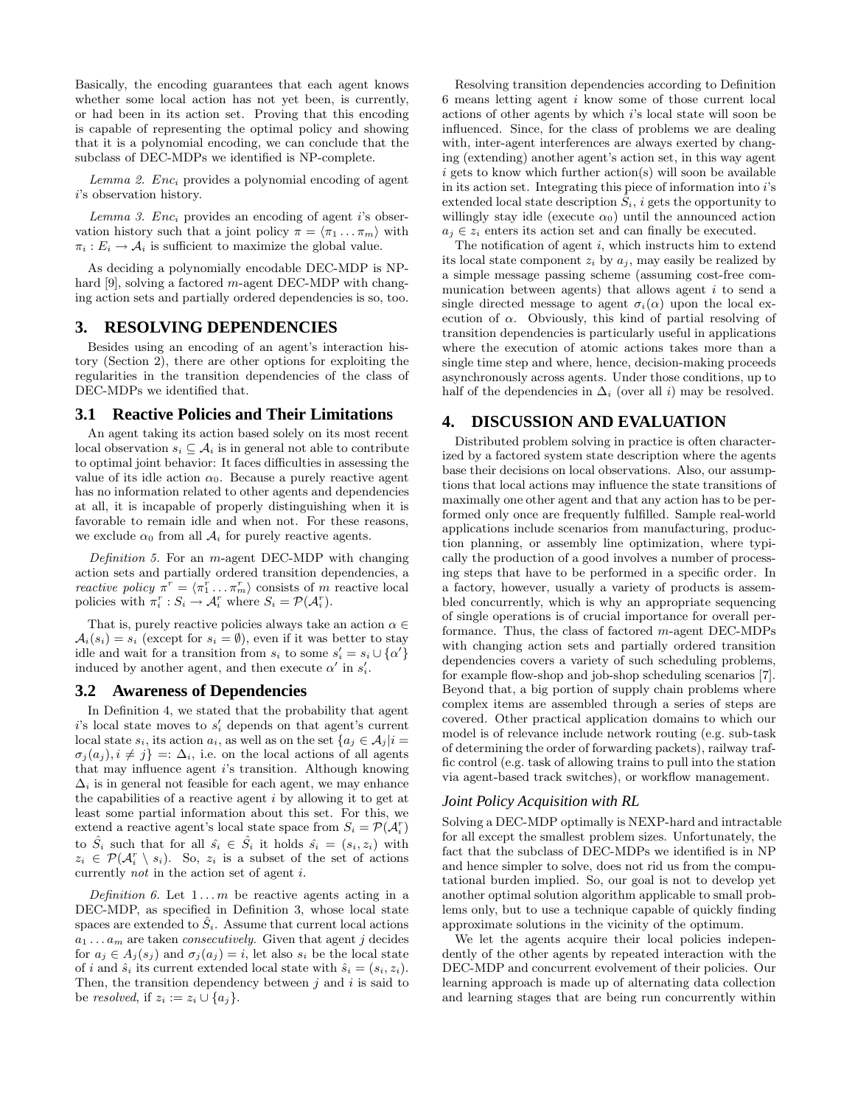Basically, the encoding guarantees that each agent knows whether some local action has not yet been, is currently, or had been in its action set. Proving that this encoding is capable of representing the optimal policy and showing that it is a polynomial encoding, we can conclude that the subclass of DEC-MDPs we identified is NP-complete.

Lemma 2.  $Enc_i$  provides a polynomial encoding of agent i's observation history.

Lemma 3.  $Enc<sub>i</sub>$  provides an encoding of agent i's observation history such that a joint policy  $\pi = \langle \pi_1 ... \pi_m \rangle$  with  $\pi_i : E_i \to A_i$  is sufficient to maximize the global value.

As deciding a polynomially encodable DEC-MDP is NPhard [9], solving a factored m-agent DEC-MDP with changing action sets and partially ordered dependencies is so, too.

#### **3. RESOLVING DEPENDENCIES**

Besides using an encoding of an agent's interaction history (Section 2), there are other options for exploiting the regularities in the transition dependencies of the class of DEC-MDPs we identified that.

#### **3.1 Reactive Policies and Their Limitations**

An agent taking its action based solely on its most recent local observation  $s_i \subseteq A_i$  is in general not able to contribute to optimal joint behavior: It faces difficulties in assessing the value of its idle action  $\alpha_0$ . Because a purely reactive agent has no information related to other agents and dependencies at all, it is incapable of properly distinguishing when it is favorable to remain idle and when not. For these reasons, we exclude  $\alpha_0$  from all  $\mathcal{A}_i$  for purely reactive agents.

Definition 5. For an m-agent DEC-MDP with changing action sets and partially ordered transition dependencies, a *reactive policy*  $\pi^r = \langle \pi_1^r \dots \pi_m^r \rangle$  consists of m reactive local policies with  $\pi_i^r : S_i \to \mathcal{A}_i^r$  where  $S_i = \mathcal{P}(\mathcal{A}_i^r)$ .

That is, purely reactive policies always take an action  $\alpha \in \mathbb{R}$  $A_i(s_i) = s_i$  (except for  $s_i = \emptyset$ ), even if it was better to stay idle and wait for a transition from  $s_i$  to some  $s'_i = s_i \cup {\alpha'}$ induced by another agent, and then execute  $\alpha'$  in  $s'_i$ .

## **3.2 Awareness of Dependencies**

In Definition 4, we stated that the probability that agent  $i$ 's local state moves to  $s_i$ ' depends on that agent's current local state  $s_i$ , its action  $a_i$ , as well as on the set  $\{a_i \in A_i | i =$  $\sigma_i(a_i), i \neq j$  =:  $\Delta_i$ , i.e. on the local actions of all agents that may influence agent i's transition. Although knowing  $\Delta_i$  is in general not feasible for each agent, we may enhance the capabilities of a reactive agent  $i$  by allowing it to get at least some partial information about this set. For this, we extend a reactive agent's local state space from  $S_i = \mathcal{P}(\mathcal{A}_i^r)$ to  $\hat{S}_i$  such that for all  $\hat{s}_i \in \hat{S}_i$  it holds  $\hat{s}_i = (s_i, z_i)$  with  $z_i \in \mathcal{P}(\mathcal{A}_i^r \setminus s_i)$ . So,  $z_i$  is a subset of the set of actions currently not in the action set of agent i.

Definition 6. Let  $1 \dots m$  be reactive agents acting in a DEC-MDP, as specified in Definition 3, whose local state spaces are extended to  $S_i$ . Assume that current local actions  $a_1 \ldots a_m$  are taken *consecutively*. Given that agent j decides for  $a_i \in A_i(s_i)$  and  $\sigma_i(a_i) = i$ , let also  $s_i$  be the local state of i and  $\hat{s}_i$  its current extended local state with  $\hat{s}_i = (s_i, z_i)$ . Then, the transition dependency between  $j$  and  $i$  is said to be resolved, if  $z_i := z_i \cup \{a_j\}.$ 

Resolving transition dependencies according to Definition 6 means letting agent i know some of those current local actions of other agents by which i's local state will soon be influenced. Since, for the class of problems we are dealing with, inter-agent interferences are always exerted by changing (extending) another agent's action set, in this way agent  $i$  gets to know which further action(s) will soon be available in its action set. Integrating this piece of information into  $i$ 's extended local state description  $S_i$ , i gets the opportunity to willingly stay idle (execute  $\alpha_0$ ) until the announced action  $a_j \in z_i$  enters its action set and can finally be executed.

The notification of agent  $i$ , which instructs him to extend its local state component  $z_i$  by  $a_j$ , may easily be realized by a simple message passing scheme (assuming cost-free communication between agents) that allows agent  $i$  to send a single directed message to agent  $\sigma_i(\alpha)$  upon the local execution of  $\alpha$ . Obviously, this kind of partial resolving of transition dependencies is particularly useful in applications where the execution of atomic actions takes more than a single time step and where, hence, decision-making proceeds asynchronously across agents. Under those conditions, up to half of the dependencies in  $\Delta_i$  (over all i) may be resolved.

## **4. DISCUSSION AND EVALUATION**

Distributed problem solving in practice is often characterized by a factored system state description where the agents base their decisions on local observations. Also, our assumptions that local actions may influence the state transitions of maximally one other agent and that any action has to be performed only once are frequently fulfilled. Sample real-world applications include scenarios from manufacturing, production planning, or assembly line optimization, where typically the production of a good involves a number of processing steps that have to be performed in a specific order. In a factory, however, usually a variety of products is assembled concurrently, which is why an appropriate sequencing of single operations is of crucial importance for overall performance. Thus, the class of factored m-agent DEC-MDPs with changing action sets and partially ordered transition dependencies covers a variety of such scheduling problems, for example flow-shop and job-shop scheduling scenarios [7]. Beyond that, a big portion of supply chain problems where complex items are assembled through a series of steps are covered. Other practical application domains to which our model is of relevance include network routing (e.g. sub-task of determining the order of forwarding packets), railway traffic control (e.g. task of allowing trains to pull into the station via agent-based track switches), or workflow management.

#### *Joint Policy Acquisition with RL*

Solving a DEC-MDP optimally is NEXP-hard and intractable for all except the smallest problem sizes. Unfortunately, the fact that the subclass of DEC-MDPs we identified is in NP and hence simpler to solve, does not rid us from the computational burden implied. So, our goal is not to develop yet another optimal solution algorithm applicable to small problems only, but to use a technique capable of quickly finding approximate solutions in the vicinity of the optimum.

We let the agents acquire their local policies independently of the other agents by repeated interaction with the DEC-MDP and concurrent evolvement of their policies. Our learning approach is made up of alternating data collection and learning stages that are being run concurrently within